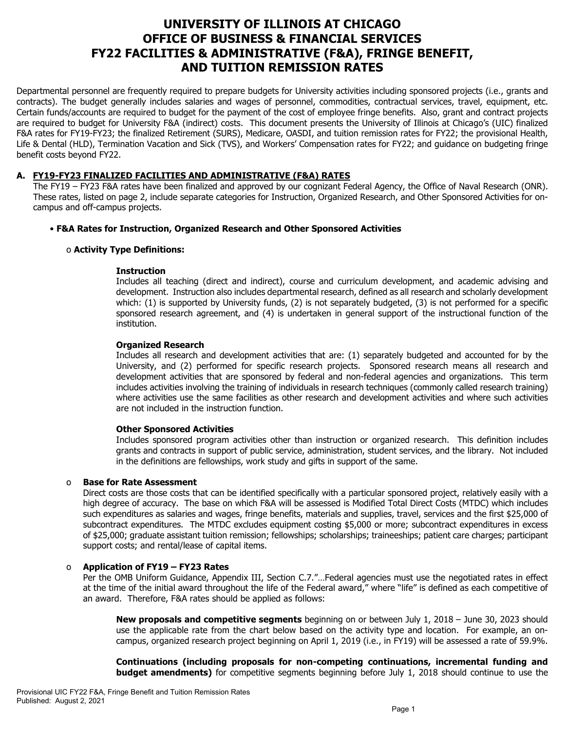# **UNIVERSITY OF ILLINOIS AT CHICAGO OFFICE OF BUSINESS & FINANCIAL SERVICES FY22 FACILITIES & ADMINISTRATIVE (F&A), FRINGE BENEFIT, AND TUITION REMISSION RATES**

Departmental personnel are frequently required to prepare budgets for University activities including sponsored projects (i.e., grants and contracts). The budget generally includes salaries and wages of personnel, commodities, contractual services, travel, equipment, etc. Certain funds/accounts are required to budget for the payment of the cost of employee fringe benefits. Also, grant and contract projects are required to budget for University F&A (indirect) costs. This document presents the University of Illinois at Chicago's (UIC) finalized F&A rates for FY19-FY23; the finalized Retirement (SURS), Medicare, OASDI, and tuition remission rates for FY22; the provisional Health, Life & Dental (HLD), Termination Vacation and Sick (TVS), and Workers' Compensation rates for FY22; and guidance on budgeting fringe benefit costs beyond FY22.

## **A. FY19-FY23 FINALIZED FACILITIES AND ADMINISTRATIVE (F&A) RATES**

The FY19 – FY23 F&A rates have been finalized and approved by our cognizant Federal Agency, the Office of Naval Research (ONR). These rates, listed on page 2, include separate categories for Instruction, Organized Research, and Other Sponsored Activities for oncampus and off-campus projects.

## • **F&A Rates for Instruction, Organized Research and Other Sponsored Activities**

#### o **Activity Type Definitions:**

#### **Instruction**

Includes all teaching (direct and indirect), course and curriculum development, and academic advising and development. Instruction also includes departmental research, defined as all research and scholarly development which: (1) is supported by University funds, (2) is not separately budgeted, (3) is not performed for a specific sponsored research agreement, and (4) is undertaken in general support of the instructional function of the institution.

#### **Organized Research**

Includes all research and development activities that are: (1) separately budgeted and accounted for by the University, and (2) performed for specific research projects. Sponsored research means all research and development activities that are sponsored by federal and non-federal agencies and organizations. This term includes activities involving the training of individuals in research techniques (commonly called research training) where activities use the same facilities as other research and development activities and where such activities are not included in the instruction function.

#### **Other Sponsored Activities**

Includes sponsored program activities other than instruction or organized research. This definition includes grants and contracts in support of public service, administration, student services, and the library. Not included in the definitions are fellowships, work study and gifts in support of the same.

#### o **Base for Rate Assessment**

Direct costs are those costs that can be identified specifically with a particular sponsored project, relatively easily with a high degree of accuracy. The base on which F&A will be assessed is Modified Total Direct Costs (MTDC) which includes such expenditures as salaries and wages, fringe benefits, materials and supplies, travel, services and the first \$25,000 of subcontract expenditures. The MTDC excludes equipment costing \$5,000 or more; subcontract expenditures in excess of \$25,000; graduate assistant tuition remission; fellowships; scholarships; traineeships; patient care charges; participant support costs; and rental/lease of capital items.

#### o **Application of FY19 – FY23 Rates**

Per the OMB Uniform Guidance, Appendix III, Section C.7."…Federal agencies must use the negotiated rates in effect at the time of the initial award throughout the life of the Federal award," where "life" is defined as each competitive of an award. Therefore, F&A rates should be applied as follows:

**New proposals and competitive segments** beginning on or between July 1, 2018 – June 30, 2023 should use the applicable rate from the chart below based on the activity type and location. For example, an oncampus, organized research project beginning on April 1, 2019 (i.e., in FY19) will be assessed a rate of 59.9%.

**Continuations (including proposals for non-competing continuations, incremental funding and budget amendments)** for competitive segments beginning before July 1, 2018 should continue to use the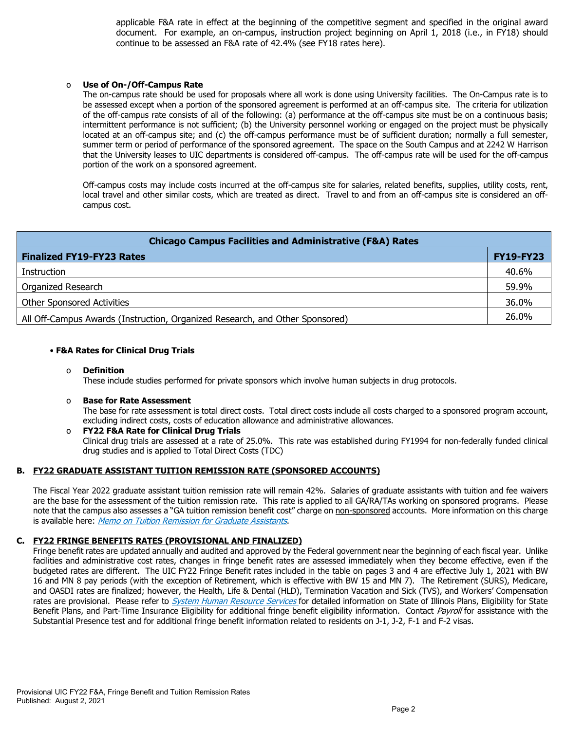applicable F&A rate in effect at the beginning of the competitive segment and specified in the original award document. For example, an on-campus, instruction project beginning on April 1, 2018 (i.e., in FY18) should continue to be assessed an F&A rate of 42.4% [\(see FY18 rates here\)](https://www.obfs.uillinois.edu/common/pages/DisplayFile.aspx?itemId=784234).

#### Use of On-/Off-Campus Rate

The on-campus rate should be used for proposals where all work is done using University facilities. The On-Campus rate is to be assessed except when a portion of the sponsored agreement is performed at an off-campus site. The criteria for utilization of the off-campus rate consists of all of the following: (a) performance at the off-campus site must be on a continuous basis; intermittent performance is not sufficient; (b) the University personnel working or engaged on the project must be physically located at an off-campus site; and (c) the off-campus performance must be of sufficient duration; normally a full semester, summer term or period of performance of the sponsored agreement. The space on the South Campus and at 2242 W Harrison that the University leases to UIC departments is considered off-campus. The off-campus rate will be used for the off-campus portion of the work on a sponsored agreement.

Off-campus costs may include costs incurred at the off-campus site for salaries, related benefits, supplies, utility costs, rent, local travel and other similar costs, which are treated as direct. Travel to and from an off-campus site is considered an offcampus cost.

| <b>Chicago Campus Facilities and Administrative (F&amp;A) Rates</b>          |                  |  |  |  |
|------------------------------------------------------------------------------|------------------|--|--|--|
| <b>Finalized FY19-FY23 Rates</b>                                             | <b>FY19-FY23</b> |  |  |  |
| Instruction                                                                  | 40.6%            |  |  |  |
| Organized Research                                                           | 59.9%            |  |  |  |
| <b>Other Sponsored Activities</b>                                            | 36.0%            |  |  |  |
| All Off-Campus Awards (Instruction, Organized Research, and Other Sponsored) | 26.0%            |  |  |  |

#### • **F&A Rates for Clinical Drug Trials**

#### o **Definition**

These include studies performed for private sponsors which involve human subjects in drug protocols.

#### o **Base for Rate Assessment**

The base for rate assessment is total direct costs. Total direct costs include all costs charged to a sponsored program account, excluding indirect costs, costs of education allowance and administrative allowances.

#### o **FY22 F&A Rate for Clinical Drug Trials** Clinical drug trials are assessed at a rate of 25.0%. This rate was established during FY1994 for non-federally funded clinical drug studies and is applied to Total Direct Costs (TDC)

#### **B. FY22 GRADUATE ASSISTANT TUITION REMISSION RATE (SPONSORED ACCOUNTS)**

The Fiscal Year 2022 graduate assistant tuition remission rate will remain 42%. Salaries of graduate assistants with tuition and fee waivers are the base for the assessment of the tuition remission rate. This rate is applied to all GA/RA/TAs working on sponsored programs. Please note that the campus also assesses a "GA tuition remission benefit cost" charge on non-sponsored accounts. More information on this charge is available here: [Memo on Tuition Remission for Graduate Assistants](https://www.obfs.uillinois.edu/common/pages/DisplayFile.aspx?itemId=436386).

#### **C. FY22 FRINGE BENEFITS RATES (PROVISIONAL AND FINALIZED)**

Fringe benefit rates are updated annually and audited and approved by the Federal government near the beginning of each fiscal year. Unlike facilities and administrative cost rates, changes in fringe benefit rates are assessed immediately when they become effective, even if the budgeted rates are different. The UIC FY22 Fringe Benefit rates included in the table on pages 3 and 4 are effective July 1, 2021 with BW 16 and MN 8 pay periods (with the exception of Retirement, which is effective with BW 15 and MN 7). The Retirement (SURS), Medicare, and OASDI rates are finalized; however, the Health, Life & Dental (HLD), Termination Vacation and Sick (TVS), and Workers' Compensation rates are provisional. Please refer to *[System Human Resource Services](https://www.hr.uillinois.edu/benefits/)* for detailed information on State of Illinois Plans, Eligibility for State Benefit Plans, and Part-Time Insurance Eligibility for additional fringe benefit eligibility information. Contact [Payroll](https://www.obfs.uillinois.edu/payroll/customer-service/) for assistance with the Substantial Presence test and for additional fringe benefit information related to residents on J-1, J-2, F-1 and F-2 visas.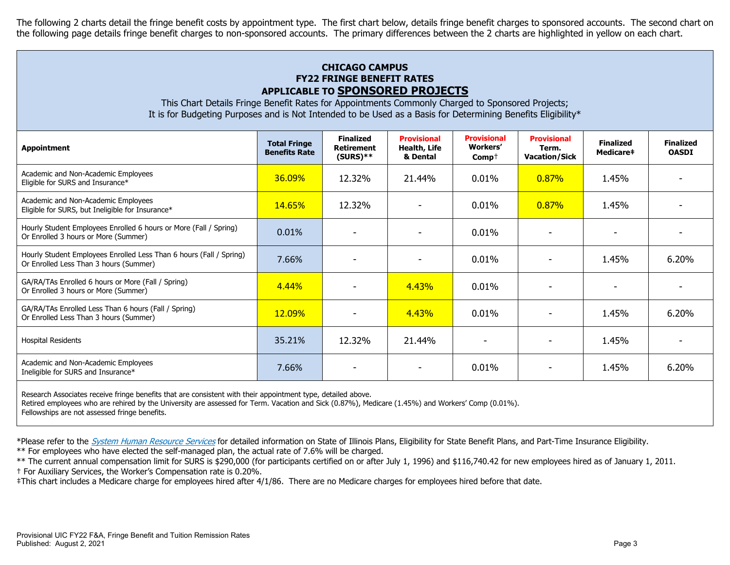The following 2 charts detail the fringe benefit costs by appointment type. The first chart below, details fringe benefit charges to sponsored accounts. The second chart on the following page details fringe benefit charges to non-sponsored accounts. The primary differences between the 2 charts are highlighted in yellow on each chart.

## **CHICAGO CAMPUS FY22 FRINGE BENEFIT RATES APPLICABLE TO SPONSORED PROJECTS**

This Chart Details Fringe Benefit Rates for Appointments Commonly Charged to Sponsored Projects; It is for Budgeting Purposes and is Not Intended to be Used as a Basis for Determining Benefits Eligibility\*

| <b>Appointment</b>                                                                                            | <b>Total Fringe</b><br><b>Benefits Rate</b> | <b>Finalized</b><br>Retirement<br>$(SURS)$ ** | <b>Provisional</b><br>Health, Life<br>& Dental | <b>Provisional</b><br><b>Workers'</b><br>$Comp+$ | <b>Provisional</b><br>Term.<br><b>Vacation/Sick</b> | <b>Finalized</b><br>Medicare# | <b>Finalized</b><br><b>OASDI</b> |
|---------------------------------------------------------------------------------------------------------------|---------------------------------------------|-----------------------------------------------|------------------------------------------------|--------------------------------------------------|-----------------------------------------------------|-------------------------------|----------------------------------|
| Academic and Non-Academic Employees<br>Eligible for SURS and Insurance*                                       | 36.09%                                      | 12.32%                                        | 21.44%                                         | $0.01\%$                                         | 0.87%                                               | 1.45%                         |                                  |
| Academic and Non-Academic Employees<br>Eligible for SURS, but Ineligible for Insurance*                       | 14.65%                                      | 12.32%                                        |                                                | 0.01%                                            | 0.87%                                               | 1.45%                         |                                  |
| Hourly Student Employees Enrolled 6 hours or More (Fall / Spring)<br>Or Enrolled 3 hours or More (Summer)     | 0.01%                                       |                                               |                                                | 0.01%                                            |                                                     |                               |                                  |
| Hourly Student Employees Enrolled Less Than 6 hours (Fall / Spring)<br>Or Enrolled Less Than 3 hours (Summer) | 7.66%                                       |                                               |                                                | 0.01%                                            |                                                     | 1.45%                         | 6.20%                            |
| GA/RA/TAs Enrolled 6 hours or More (Fall / Spring)<br>Or Enrolled 3 hours or More (Summer)                    | 4.44%                                       |                                               | 4.43%                                          | 0.01%                                            |                                                     |                               |                                  |
| GA/RA/TAs Enrolled Less Than 6 hours (Fall / Spring)<br>Or Enrolled Less Than 3 hours (Summer)                | 12.09%                                      |                                               | 4.43%                                          | 0.01%                                            |                                                     | 1.45%                         | 6.20%                            |
| <b>Hospital Residents</b>                                                                                     | 35.21%                                      | 12.32%                                        | 21.44%                                         |                                                  |                                                     | 1.45%                         |                                  |
| Academic and Non-Academic Employees<br>Ineligible for SURS and Insurance*                                     | 7.66%                                       |                                               |                                                | 0.01%                                            |                                                     | 1.45%                         | 6.20%                            |
|                                                                                                               |                                             |                                               |                                                |                                                  |                                                     |                               |                                  |

Research Associates receive fringe benefits that are consistent with their appointment type, detailed above.

Retired employees who are rehired by the University are assessed for Term. Vacation and Sick (0.87%), Medicare (1.45%) and Workers' Comp (0.01%).

Fellowships are not assessed fringe benefits.

\*Please refer to the [System Human Resource Services](https://www.hr.uillinois.edu/benefits/) for detailed information on State of Illinois Plans, Eligibility for State Benefit Plans, and Part-Time Insurance Eligibility.

\*\* For employees who have elected the self-managed plan, the actual rate of 7.6% will be charged.

\*\* The current annual compensation limit for SURS is \$290,000 (for participants certified on or after July 1, 1996) and \$116,740.42 for new employees hired as of January 1, 2011. † For Auxiliary Services, the Worker's Compensation rate is 0.20%.

‡This chart includes a Medicare charge for employees hired after 4/1/86. There are no Medicare charges for employees hired before that date.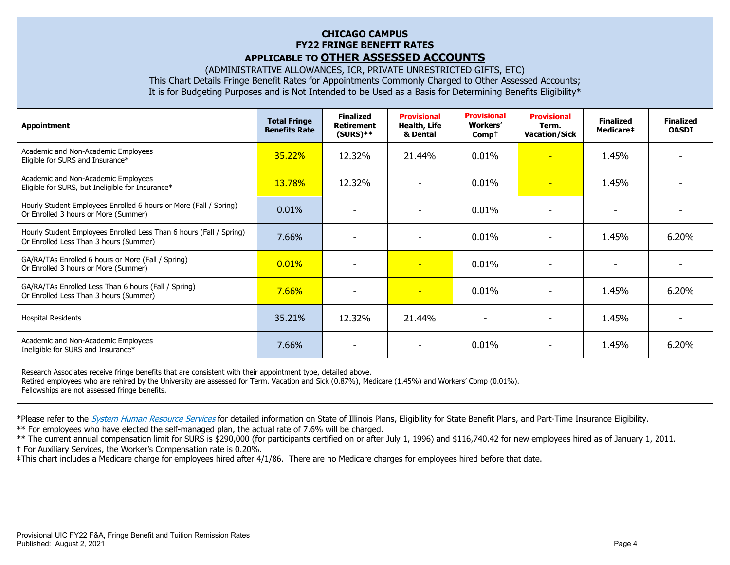## **CHICAGO CAMPUS FY22 FRINGE BENEFIT RATES APPLICABLE TO OTHER ASSESSED ACCOUNTS**

(ADMINISTRATIVE ALLOWANCES, ICR, PRIVATE UNRESTRICTED GIFTS, ETC) This Chart Details Fringe Benefit Rates for Appointments Commonly Charged to Other Assessed Accounts; It is for Budgeting Purposes and is Not Intended to be Used as a Basis for Determining Benefits Eligibility\*

| <b>Appointment</b>                                                                                                   | <b>Total Fringe</b><br><b>Benefits Rate</b> | <b>Finalized</b><br><b>Retirement</b><br>$(SURS)**$ | <b>Provisional</b><br>Health, Life<br>& Dental | <b>Provisional</b><br>Workers'<br>$\mathsf{Comp}^+$ | <b>Provisional</b><br>Term.<br><b>Vacation/Sick</b> | <b>Finalized</b><br><b>Medicare#</b> | <b>Finalized</b><br><b>OASDI</b> |
|----------------------------------------------------------------------------------------------------------------------|---------------------------------------------|-----------------------------------------------------|------------------------------------------------|-----------------------------------------------------|-----------------------------------------------------|--------------------------------------|----------------------------------|
| Academic and Non-Academic Employees<br>Eligible for SURS and Insurance*                                              | 35.22%                                      | 12.32%                                              | 21.44%                                         | 0.01%                                               | ٠                                                   | 1.45%                                |                                  |
| Academic and Non-Academic Employees<br>Eligible for SURS, but Ineligible for Insurance*                              | <b>13.78%</b>                               | 12.32%                                              |                                                | 0.01%                                               | $\overline{\phantom{0}}$                            | 1.45%                                |                                  |
| Hourly Student Employees Enrolled 6 hours or More (Fall / Spring)<br>Or Enrolled 3 hours or More (Summer)            | 0.01%                                       |                                                     |                                                | 0.01%                                               | $\overline{\phantom{0}}$                            | $\overline{\phantom{0}}$             |                                  |
| Hourly Student Employees Enrolled Less Than 6 hours (Fall / Spring)<br>Or Enrolled Less Than 3 hours (Summer)        | 7.66%                                       |                                                     |                                                | 0.01%                                               |                                                     | 1.45%                                | 6.20%                            |
| GA/RA/TAs Enrolled 6 hours or More (Fall / Spring)<br>Or Enrolled 3 hours or More (Summer)                           | 0.01%                                       |                                                     | н                                              | 0.01%                                               |                                                     |                                      |                                  |
| GA/RA/TAs Enrolled Less Than 6 hours (Fall / Spring)<br>Or Enrolled Less Than 3 hours (Summer)                       | 7.66%                                       | ٠                                                   | $\overline{\phantom{a}}$                       | 0.01%                                               | ٠                                                   | 1.45%                                | 6.20%                            |
| <b>Hospital Residents</b>                                                                                            | 35.21%                                      | 12.32%                                              | 21.44%                                         |                                                     |                                                     | 1.45%                                |                                  |
| Academic and Non-Academic Employees<br>Ineligible for SURS and Insurance*                                            | 7.66%                                       |                                                     |                                                | 0.01%                                               |                                                     | 1.45%                                | 6.20%                            |
| المنافذ المستحدث والمستحدث والمتناقص والمتناقص والمتناقص والمتناقص والمتناقص والمتناقص والمتناقص والمتناقض والمتناقض |                                             |                                                     |                                                |                                                     |                                                     |                                      |                                  |

Research Associates receive fringe benefits that are consistent with their appointment type, detailed above. Retired employees who are rehired by the University are assessed for Term. Vacation and Sick (0.87%), Medicare (1.45%) and Workers' Comp (0.01%). Fellowships are not assessed fringe benefits.

\*Please refer to the [System Human Resource Services](https://www.hr.uillinois.edu/benefits/) for detailed information on State of Illinois Plans, Eligibility for State Benefit Plans, and Part-Time Insurance Eligibility.

\*\* For employees who have elected the self-managed plan, the actual rate of 7.6% will be charged.

\*\* The current annual compensation limit for SURS is \$290,000 (for participants certified on or after July 1, 1996) and \$116,740.42 for new employees hired as of January 1, 2011.

† For Auxiliary Services, the Worker's Compensation rate is 0.20%.

‡This chart includes a Medicare charge for employees hired after 4/1/86. There are no Medicare charges for employees hired before that date.